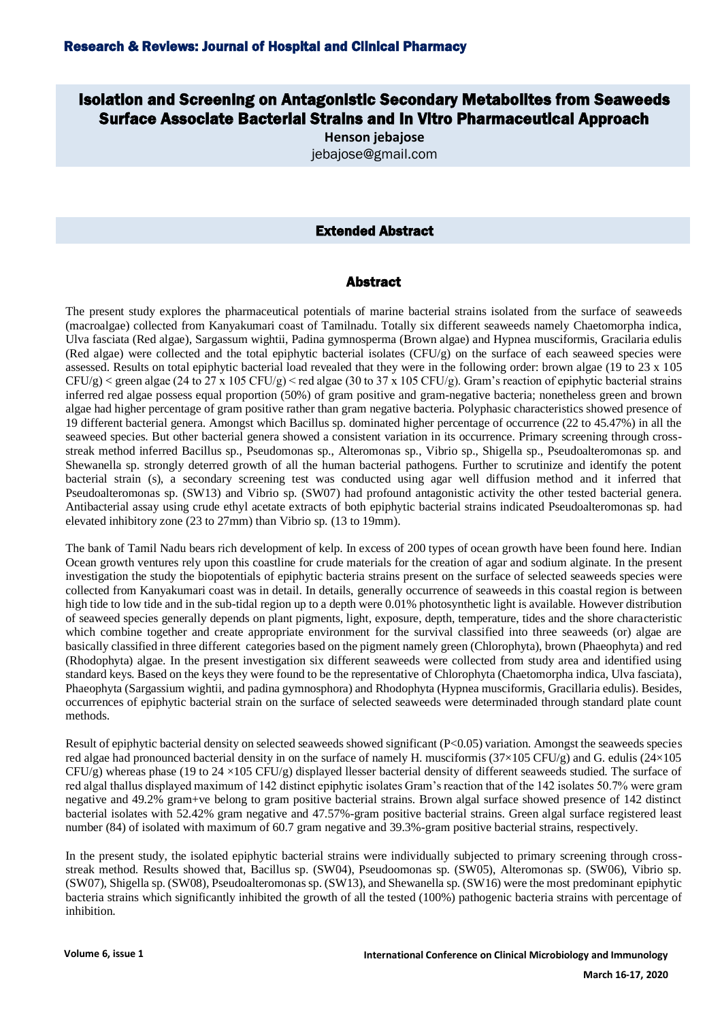## Isolation and Screening on Antagonistic Secondary Metabolites from Seaweeds Surface Associate Bacterial Strains and In Vitro Pharmaceutical Approach

**Henson jebajose** jebajose@gmail.com

## Extended Abstract

## Abstract

The present study explores the pharmaceutical potentials of marine bacterial strains isolated from the surface of seaweeds (macroalgae) collected from Kanyakumari coast of Tamilnadu. Totally six different seaweeds namely Chaetomorpha indica, Ulva fasciata (Red algae), Sargassum wightii, Padina gymnosperma (Brown algae) and Hypnea musciformis, Gracilaria edulis (Red algae) were collected and the total epiphytic bacterial isolates (CFU/g) on the surface of each seaweed species were assessed. Results on total epiphytic bacterial load revealed that they were in the following order: brown algae (19 to 23 x 105  $CFU/g$  < green algae (24 to 27 x 105 CFU/g) < red algae (30 to 37 x 105 CFU/g). Gram's reaction of epiphytic bacterial strains inferred red algae possess equal proportion (50%) of gram positive and gram-negative bacteria; nonetheless green and brown algae had higher percentage of gram positive rather than gram negative bacteria. Polyphasic characteristics showed presence of 19 different bacterial genera. Amongst which Bacillus sp. dominated higher percentage of occurrence (22 to 45.47%) in all the seaweed species. But other bacterial genera showed a consistent variation in its occurrence. Primary screening through crossstreak method inferred Bacillus sp., Pseudomonas sp., Alteromonas sp., Vibrio sp., Shigella sp., Pseudoalteromonas sp. and Shewanella sp. strongly deterred growth of all the human bacterial pathogens. Further to scrutinize and identify the potent bacterial strain (s), a secondary screening test was conducted using agar well diffusion method and it inferred that Pseudoalteromonas sp. (SW13) and Vibrio sp. (SW07) had profound antagonistic activity the other tested bacterial genera. Antibacterial assay using crude ethyl acetate extracts of both epiphytic bacterial strains indicated Pseudoalteromonas sp. had elevated inhibitory zone (23 to 27mm) than Vibrio sp. (13 to 19mm).

The bank of Tamil Nadu bears rich development of kelp. In excess of 200 types of ocean growth have been found here. Indian Ocean growth ventures rely upon this coastline for crude materials for the creation of agar and sodium alginate. In the present investigation the study the biopotentials of epiphytic bacteria strains present on the surface of selected seaweeds species were collected from Kanyakumari coast was in detail. In details, generally occurrence of seaweeds in this coastal region is between high tide to low tide and in the sub-tidal region up to a depth were 0.01% photosynthetic light is available. However distribution of seaweed species generally depends on plant pigments, light, exposure, depth, temperature, tides and the shore characteristic which combine together and create appropriate environment for the survival classified into three seaweeds (or) algae are basically classified in three different categories based on the pigment namely green (Chlorophyta), brown (Phaeophyta) and red (Rhodophyta) algae. In the present investigation six different seaweeds were collected from study area and identified using standard keys. Based on the keys they were found to be the representative of Chlorophyta (Chaetomorpha indica, Ulva fasciata), Phaeophyta (Sargassium wightii, and padina gymnosphora) and Rhodophyta (Hypnea musciformis, Gracillaria edulis). Besides, occurrences of epiphytic bacterial strain on the surface of selected seaweeds were determinaded through standard plate count methods.

Result of epiphytic bacterial density on selected seaweeds showed significant (P<0.05) variation. Amongst the seaweeds species red algae had pronounced bacterial density in on the surface of namely H. musciformis  $(37\times105 \text{ CFU/g})$  and G. edulis  $(24\times105 \text{ FU/g})$  $CFU(g)$  whereas phase (19 to 24 ×105 CFU/g) displayed llesser bacterial density of different seaweeds studied. The surface of red algal thallus displayed maximum of 142 distinct epiphytic isolates Gram's reaction that of the 142 isolates 50.7% were gram negative and 49.2% gram+ve belong to gram positive bacterial strains. Brown algal surface showed presence of 142 distinct bacterial isolates with 52.42% gram negative and 47.57%-gram positive bacterial strains. Green algal surface registered least number (84) of isolated with maximum of 60.7 gram negative and 39.3%-gram positive bacterial strains, respectively.

In the present study, the isolated epiphytic bacterial strains were individually subjected to primary screening through crossstreak method. Results showed that, Bacillus sp. (SW04), Pseudoomonas sp. (SW05), Alteromonas sp. (SW06), Vibrio sp. (SW07), Shigella sp. (SW08), Pseudoalteromonas sp. (SW13), and Shewanella sp. (SW16) were the most predominant epiphytic bacteria strains which significantly inhibited the growth of all the tested (100%) pathogenic bacteria strains with percentage of inhibition.